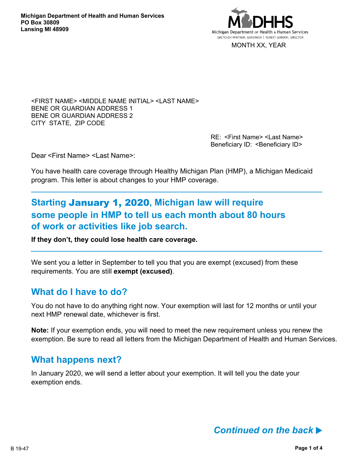

MONTH XX, YEAR

<FIRST NAME> <MIDDLE NAME INITIAL> <LAST NAME> BENE OR GUARDIAN ADDRESS 1 BENE OR GUARDIAN ADDRESS 2 CITY STATE, ZIP CODE

> RE: <First Name> <Last Name> Beneficiary ID: < Beneficiary ID>

Dear <First Name> <Last Name>:

You have health care coverage through Healthy Michigan Plan (HMP), a Michigan Medicaid program. This letter is about changes to your HMP coverage.

# **Starting** January 1, 2020**, Michigan law will require some people in HMP to tell us each month about 80 hours of work or activities like job search.**

**If they don't, they could lose health care coverage.**

We sent you a letter in September to tell you that you are exempt (excused) from these requirements. You are still **exempt (excused)**.

## **What do I have to do?**

You do not have to do anything right now. Your exemption will last for 12 months or until your next HMP renewal date, whichever is first.

**Note:** If your exemption ends, you will need to meet the new requirement unless you renew the exemption. Be sure to read all letters from the Michigan Department of Health and Human Services.

## **What happens next?**

In January 2020, we will send a letter about your exemption. It will tell you the date your exemption ends.

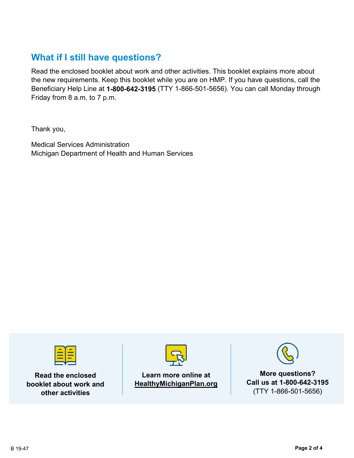# **What if I still have questions?**

Read the enclosed booklet about work and other activities. This booklet explains more about the new requirements. Keep this booklet while you are on HMP. If you have questions, call the Beneficiary Help Line at **1-800-642-3195** (TTY 1-866-501-5656). You can call Monday through Friday from 8 a.m. to 7 p.m.

Thank you,

Medical Services Administration Michigan Department of Health and Human Services



**Read the enclosed booklet about work and other activities**



**Learn more online at HealthyMichiganPlan.org**



**More questions? Call us at 1-800-642-3195** (TTY 1-866-501-5656)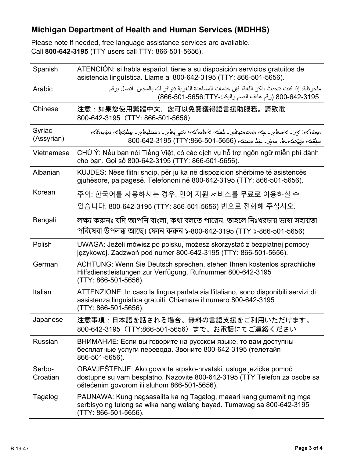# **Michigan Department of Health and Human Services (MDHHS)**

Please note if needed, free language assistance services are available. Call **800-642-3195** (TTY users call TTY: 866-501-5656).

| Spanish              | ATENCIÓN: si habla español, tiene a su disposición servicios gratuitos de<br>asistencia lingüística. Llame al 800-642-3195 (TTY: 866-501-5656).                                               |
|----------------------|-----------------------------------------------------------------------------------------------------------------------------------------------------------------------------------------------|
| Arabic               | ملحوظة· إذا كنت تتحدث اذكر اللغة، فإن خدمات المساعدة اللغوية تتوافر لك بالمجان. اتصل برقم<br>800-642-3195 (رقم هاتف الصم والبكم:-866-501-666)                                                 |
| Chinese              | 注意:如果您使用繁體中文,您可以免費獲得語言援助服務。請致電<br>800-642-3195 (TTY: 866-501-5656)                                                                                                                            |
| Syriac<br>(Assyrian) | المخترجة المستحملية للمستحق والمستحمل والمتفاعل المستحمين المستحف المستحر والمستحرج المختصوم<br>حلقته جَحَته بِه. مزمَى خِلْا حِسَنَه (1565-501-5656-800-642-3195) 800-642-8195               |
| Vietnamese           | CHÚ Ý: Nếu bạn nói Tiếng Việt, có các dịch vụ hỗ trợ ngôn ngữ miễn phí dành<br>cho bạn. Gọi số 800-642-3195 (TTY: 866-501-5656).                                                              |
| Albanian             | KUJDES: Nëse flitni shqip, për ju ka në dispozicion shërbime të asistencës<br>gjuhësore, pa pagesë. Telefononi në 800-642-3195 (TTY: 866-501-5656).                                           |
| Korean               | 주의: 한국어를 사용하시는 경우, 언어 지원 서비스를 무료로 이용하실 수                                                                                                                                                      |
|                      | 있습니다. 800-642-3195 (TTY: 866-501-5656) 번으로 전화해 주십시오.                                                                                                                                          |
| Bengali              | লক্ষ্য করুনঃ যদি আপনি বাংলা, কথা বলতে পারেন, তাহলে নিঃখরচায় ভাষা সহায়তা<br>পরিষেবা উপলব্ধ আছে। ফোন করুন ১-800-642-3195 (TTY ১-866-501-5656)                                                 |
| Polish               | UWAGA: Jeżeli mówisz po polsku, możesz skorzystać z bezpłatnej pomocy<br>językowej. Zadzwoń pod numer 800-642-3195 (TTY: 866-501-5656).                                                       |
| German               | ACHTUNG: Wenn Sie Deutsch sprechen, stehen Ihnen kostenlos sprachliche<br>Hilfsdienstleistungen zur Verfügung. Rufnummer 800-642-3195<br>(TTY: 866-501-5656).                                 |
| Italian              | ATTENZIONE: In caso la lingua parlata sia l'italiano, sono disponibili servizi di<br>assistenza linguistica gratuiti. Chiamare il numero 800-642-3195<br>(TTY: 866-501-5656).                 |
| Japanese             | 注意事項:日本語を話される場合、無料の言語支援をご利用いただけます。<br>800-642-3195 (TTY:866-501-5656) まで、お電話にてご連絡ください                                                                                                         |
| <b>Russian</b>       | ВНИМАНИЕ: Если вы говорите на русском языке, то вам доступны<br>бесплатные услуги перевода. Звоните 800-642-3195 (телетайп<br>866-501-5656).                                                  |
| Serbo-<br>Croatian   | OBAVJEŠTENJE: Ako govorite srpsko-hrvatski, usluge jezičke pomoći<br>dostupne su vam besplatno. Nazovite 800-642-3195 (TTY Telefon za osobe sa<br>oštećenim govorom ili sluhom 866-501-5656). |
| Tagalog              | PAUNAWA: Kung nagsasalita ka ng Tagalog, maaari kang gumamit ng mga<br>serbisyo ng tulong sa wika nang walang bayad. Tumawag sa 800-642-3195<br>(TTY: 866-501-5656).                          |